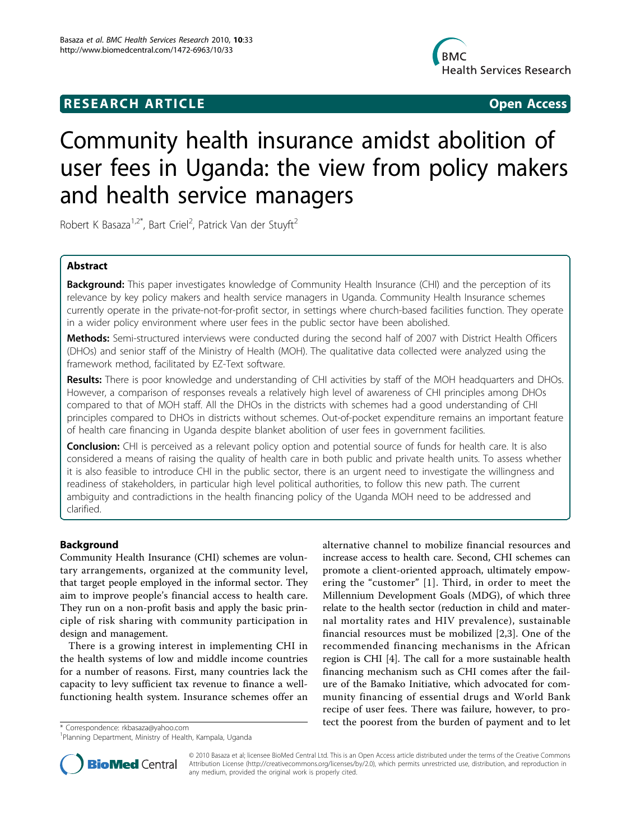# **RESEARCH ARTICLE Example 2018 CONSUMING ACCESS**



# Community health insurance amidst abolition of user fees in Uganda: the view from policy makers and health service managers

Robert K Basaza<sup>1,2\*</sup>, Bart Criel<sup>2</sup>, Patrick Van der Stuyft<sup>2</sup>

# Abstract

**Background:** This paper investigates knowledge of Community Health Insurance (CHI) and the perception of its relevance by key policy makers and health service managers in Uganda. Community Health Insurance schemes currently operate in the private-not-for-profit sector, in settings where church-based facilities function. They operate in a wider policy environment where user fees in the public sector have been abolished.

Methods: Semi-structured interviews were conducted during the second half of 2007 with District Health Officers (DHOs) and senior staff of the Ministry of Health (MOH). The qualitative data collected were analyzed using the framework method, facilitated by EZ-Text software.

Results: There is poor knowledge and understanding of CHI activities by staff of the MOH headquarters and DHOs. However, a comparison of responses reveals a relatively high level of awareness of CHI principles among DHOs compared to that of MOH staff. All the DHOs in the districts with schemes had a good understanding of CHI principles compared to DHOs in districts without schemes. Out-of-pocket expenditure remains an important feature of health care financing in Uganda despite blanket abolition of user fees in government facilities.

Conclusion: CHI is perceived as a relevant policy option and potential source of funds for health care. It is also considered a means of raising the quality of health care in both public and private health units. To assess whether it is also feasible to introduce CHI in the public sector, there is an urgent need to investigate the willingness and readiness of stakeholders, in particular high level political authorities, to follow this new path. The current ambiguity and contradictions in the health financing policy of the Uganda MOH need to be addressed and clarified.

# Background

Community Health Insurance (CHI) schemes are voluntary arrangements, organized at the community level, that target people employed in the informal sector. They aim to improve people's financial access to health care. They run on a non-profit basis and apply the basic principle of risk sharing with community participation in design and management.

There is a growing interest in implementing CHI in the health systems of low and middle income countries for a number of reasons. First, many countries lack the capacity to levy sufficient tax revenue to finance a wellfunctioning health system. Insurance schemes offer an

alternative channel to mobilize financial resources and increase access to health care. Second, CHI schemes can promote a client-oriented approach, ultimately empowering the "customer" [[1](#page-8-0)]. Third, in order to meet the Millennium Development Goals (MDG), of which three relate to the health sector (reduction in child and maternal mortality rates and HIV prevalence), sustainable financial resources must be mobilized [[2,3\]](#page-8-0). One of the recommended financing mechanisms in the African region is CHI [[4](#page-8-0)]. The call for a more sustainable health financing mechanism such as CHI comes after the failure of the Bamako Initiative, which advocated for community financing of essential drugs and World Bank recipe of user fees. There was failure, however, to pro\* Correspondence: [rkbasaza@yahoo.com](mailto:rkbasaza@yahoo.com) **the state of payment and to let** the poorest from the burden of payment and to let



© 2010 Basaza et al; licensee BioMed Central Ltd. This is an Open Access article distributed under the terms of the Creative Commons Attribution License [\(http://creativecommons.org/licenses/by/2.0](http://creativecommons.org/licenses/by/2.0)), which permits unrestricted use, distribution, and reproduction in any medium, provided the original work is properly cited.

<sup>&</sup>lt;sup>1</sup> Planning Department, Ministry of Health, Kampala, Uganda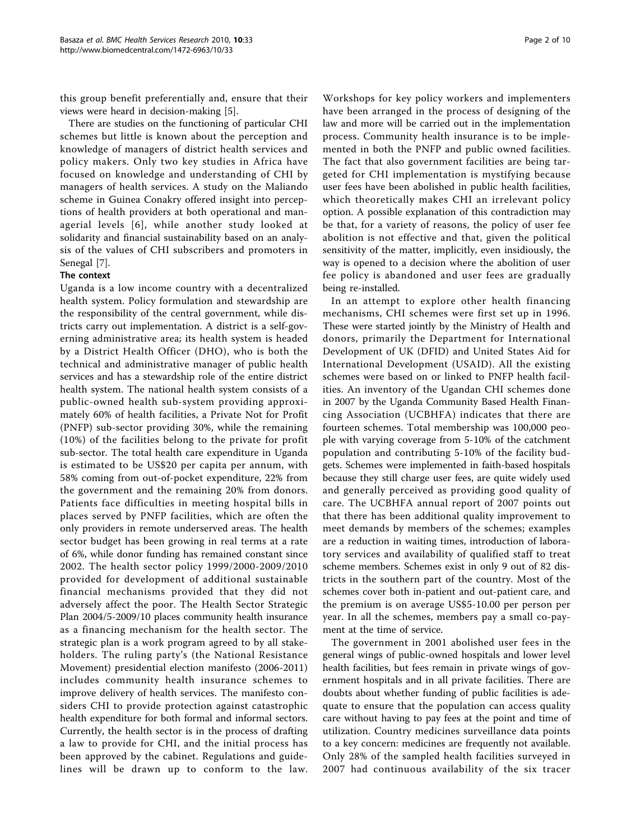this group benefit preferentially and, ensure that their views were heard in decision-making [[5\]](#page-8-0).

There are studies on the functioning of particular CHI schemes but little is known about the perception and knowledge of managers of district health services and policy makers. Only two key studies in Africa have focused on knowledge and understanding of CHI by managers of health services. A study on the Maliando scheme in Guinea Conakry offered insight into perceptions of health providers at both operational and managerial levels [[6\]](#page-8-0), while another study looked at solidarity and financial sustainability based on an analysis of the values of CHI subscribers and promoters in Senegal [[7\]](#page-8-0).

#### The context

Uganda is a low income country with a decentralized health system. Policy formulation and stewardship are the responsibility of the central government, while districts carry out implementation. A district is a self-governing administrative area; its health system is headed by a District Health Officer (DHO), who is both the technical and administrative manager of public health services and has a stewardship role of the entire district health system. The national health system consists of a public-owned health sub-system providing approximately 60% of health facilities, a Private Not for Profit (PNFP) sub-sector providing 30%, while the remaining (10%) of the facilities belong to the private for profit sub-sector. The total health care expenditure in Uganda is estimated to be US\$20 per capita per annum, with 58% coming from out-of-pocket expenditure, 22% from the government and the remaining 20% from donors. Patients face difficulties in meeting hospital bills in places served by PNFP facilities, which are often the only providers in remote underserved areas. The health sector budget has been growing in real terms at a rate of 6%, while donor funding has remained constant since 2002. The health sector policy 1999/2000-2009/2010 provided for development of additional sustainable financial mechanisms provided that they did not adversely affect the poor. The Health Sector Strategic Plan 2004/5-2009/10 places community health insurance as a financing mechanism for the health sector. The strategic plan is a work program agreed to by all stakeholders. The ruling party's (the National Resistance Movement) presidential election manifesto (2006-2011) includes community health insurance schemes to improve delivery of health services. The manifesto considers CHI to provide protection against catastrophic health expenditure for both formal and informal sectors. Currently, the health sector is in the process of drafting a law to provide for CHI, and the initial process has been approved by the cabinet. Regulations and guidelines will be drawn up to conform to the law.

Workshops for key policy workers and implementers have been arranged in the process of designing of the law and more will be carried out in the implementation process. Community health insurance is to be implemented in both the PNFP and public owned facilities. The fact that also government facilities are being targeted for CHI implementation is mystifying because user fees have been abolished in public health facilities, which theoretically makes CHI an irrelevant policy option. A possible explanation of this contradiction may be that, for a variety of reasons, the policy of user fee abolition is not effective and that, given the political sensitivity of the matter, implicitly, even insidiously, the way is opened to a decision where the abolition of user fee policy is abandoned and user fees are gradually being re-installed.

In an attempt to explore other health financing mechanisms, CHI schemes were first set up in 1996. These were started jointly by the Ministry of Health and donors, primarily the Department for International Development of UK (DFID) and United States Aid for International Development (USAID). All the existing schemes were based on or linked to PNFP health facilities. An inventory of the Ugandan CHI schemes done in 2007 by the Uganda Community Based Health Financing Association (UCBHFA) indicates that there are fourteen schemes. Total membership was 100,000 people with varying coverage from 5-10% of the catchment population and contributing 5-10% of the facility budgets. Schemes were implemented in faith-based hospitals because they still charge user fees, are quite widely used and generally perceived as providing good quality of care. The UCBHFA annual report of 2007 points out that there has been additional quality improvement to meet demands by members of the schemes; examples are a reduction in waiting times, introduction of laboratory services and availability of qualified staff to treat scheme members. Schemes exist in only 9 out of 82 districts in the southern part of the country. Most of the schemes cover both in-patient and out-patient care, and the premium is on average US\$5-10.00 per person per year. In all the schemes, members pay a small co-payment at the time of service.

The government in 2001 abolished user fees in the general wings of public-owned hospitals and lower level health facilities, but fees remain in private wings of government hospitals and in all private facilities. There are doubts about whether funding of public facilities is adequate to ensure that the population can access quality care without having to pay fees at the point and time of utilization. Country medicines surveillance data points to a key concern: medicines are frequently not available. Only 28% of the sampled health facilities surveyed in 2007 had continuous availability of the six tracer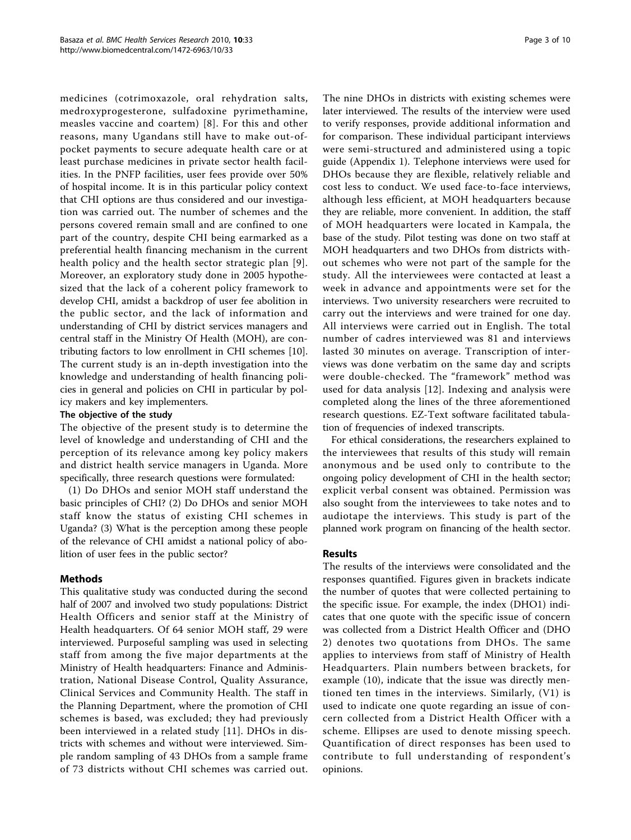medicines (cotrimoxazole, oral rehydration salts, medroxyprogesterone, sulfadoxine pyrimethamine, measles vaccine and coartem) [[8](#page-8-0)]. For this and other reasons, many Ugandans still have to make out-ofpocket payments to secure adequate health care or at least purchase medicines in private sector health facilities. In the PNFP facilities, user fees provide over 50% of hospital income. It is in this particular policy context that CHI options are thus considered and our investigation was carried out. The number of schemes and the persons covered remain small and are confined to one part of the country, despite CHI being earmarked as a preferential health financing mechanism in the current health policy and the health sector strategic plan [[9\]](#page-8-0). Moreover, an exploratory study done in 2005 hypothesized that the lack of a coherent policy framework to develop CHI, amidst a backdrop of user fee abolition in the public sector, and the lack of information and understanding of CHI by district services managers and central staff in the Ministry Of Health (MOH), are contributing factors to low enrollment in CHI schemes [[10](#page-8-0)]. The current study is an in-depth investigation into the knowledge and understanding of health financing policies in general and policies on CHI in particular by policy makers and key implementers.

# The objective of the study

The objective of the present study is to determine the level of knowledge and understanding of CHI and the perception of its relevance among key policy makers and district health service managers in Uganda. More specifically, three research questions were formulated:

(1) Do DHOs and senior MOH staff understand the basic principles of CHI? (2) Do DHOs and senior MOH staff know the status of existing CHI schemes in Uganda? (3) What is the perception among these people of the relevance of CHI amidst a national policy of abolition of user fees in the public sector?

# Methods

This qualitative study was conducted during the second half of 2007 and involved two study populations: District Health Officers and senior staff at the Ministry of Health headquarters. Of 64 senior MOH staff, 29 were interviewed. Purposeful sampling was used in selecting staff from among the five major departments at the Ministry of Health headquarters: Finance and Administration, National Disease Control, Quality Assurance, Clinical Services and Community Health. The staff in the Planning Department, where the promotion of CHI schemes is based, was excluded; they had previously been interviewed in a related study [[11\]](#page-8-0). DHOs in districts with schemes and without were interviewed. Simple random sampling of 43 DHOs from a sample frame of 73 districts without CHI schemes was carried out.

The nine DHOs in districts with existing schemes were later interviewed. The results of the interview were used to verify responses, provide additional information and for comparison. These individual participant interviews were semi-structured and administered using a topic guide (Appendix 1). Telephone interviews were used for DHOs because they are flexible, relatively reliable and cost less to conduct. We used face-to-face interviews, although less efficient, at MOH headquarters because they are reliable, more convenient. In addition, the staff of MOH headquarters were located in Kampala, the base of the study. Pilot testing was done on two staff at MOH headquarters and two DHOs from districts without schemes who were not part of the sample for the study. All the interviewees were contacted at least a week in advance and appointments were set for the interviews. Two university researchers were recruited to carry out the interviews and were trained for one day. All interviews were carried out in English. The total number of cadres interviewed was 81 and interviews lasted 30 minutes on average. Transcription of interviews was done verbatim on the same day and scripts were double-checked. The "framework" method was used for data analysis [[12](#page-8-0)]. Indexing and analysis were completed along the lines of the three aforementioned research questions. EZ-Text software facilitated tabulation of frequencies of indexed transcripts.

For ethical considerations, the researchers explained to the interviewees that results of this study will remain anonymous and be used only to contribute to the ongoing policy development of CHI in the health sector; explicit verbal consent was obtained. Permission was also sought from the interviewees to take notes and to audiotape the interviews. This study is part of the planned work program on financing of the health sector.

# Results

The results of the interviews were consolidated and the responses quantified. Figures given in brackets indicate the number of quotes that were collected pertaining to the specific issue. For example, the index (DHO1) indicates that one quote with the specific issue of concern was collected from a District Health Officer and (DHO 2) denotes two quotations from DHOs. The same applies to interviews from staff of Ministry of Health Headquarters. Plain numbers between brackets, for example (10), indicate that the issue was directly mentioned ten times in the interviews. Similarly, (V1) is used to indicate one quote regarding an issue of concern collected from a District Health Officer with a scheme. Ellipses are used to denote missing speech. Quantification of direct responses has been used to contribute to full understanding of respondent's opinions.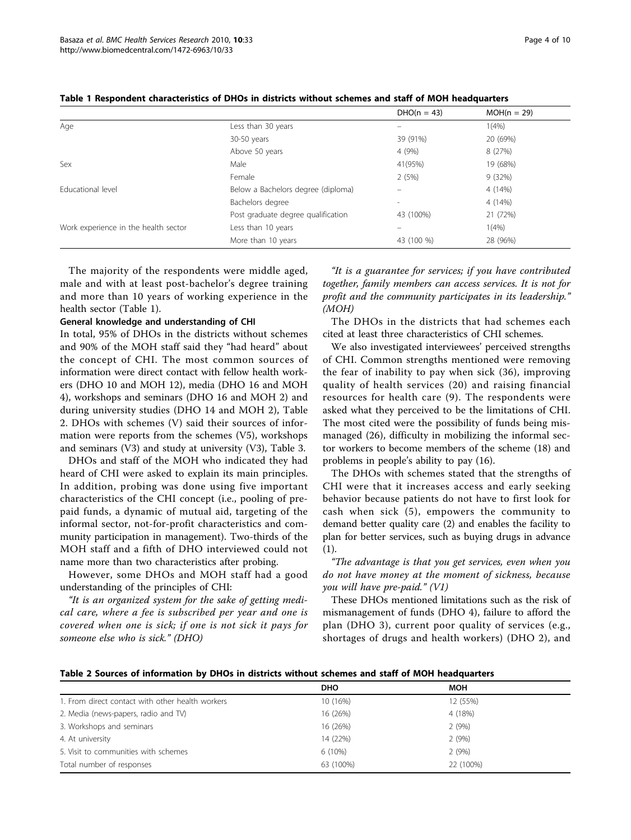|                                      |                                    | $DHO(n = 43)$            | $MOH(n = 29)$ |
|--------------------------------------|------------------------------------|--------------------------|---------------|
| Age                                  | Less than 30 years                 |                          | 1(4% )        |
|                                      | 30-50 years                        | 39 (91%)                 | 20 (69%)      |
|                                      | Above 50 years                     | 4 (9%)                   | 8 (27%)       |
| Sex                                  | Male                               | 41(95%)                  | 19 (68%)      |
|                                      | Female                             | 2(5%)                    | 9 (32%)       |
| Educational level                    | Below a Bachelors degree (diploma) |                          | 4 (14%)       |
|                                      | Bachelors degree                   | $\overline{\phantom{a}}$ | 4 (14%)       |
|                                      | Post graduate degree qualification | 43 (100%)                | 21 (72%)      |
| Work experience in the health sector | Less than 10 years                 |                          | 1(4% )        |
|                                      | More than 10 years                 | 43 (100 %)               | 28 (96%)      |

Table 1 Respondent characteristics of DHOs in districts without schemes and staff of MOH headquarters

The majority of the respondents were middle aged, male and with at least post-bachelor's degree training and more than 10 years of working experience in the health sector (Table 1).

#### General knowledge and understanding of CHI

In total, 95% of DHOs in the districts without schemes and 90% of the MOH staff said they "had heard" about the concept of CHI. The most common sources of information were direct contact with fellow health workers (DHO 10 and MOH 12), media (DHO 16 and MOH 4), workshops and seminars (DHO 16 and MOH 2) and during university studies (DHO 14 and MOH 2), Table 2. DHOs with schemes (V) said their sources of information were reports from the schemes (V5), workshops and seminars (V3) and study at university (V3), Table [3](#page-4-0).

DHOs and staff of the MOH who indicated they had heard of CHI were asked to explain its main principles. In addition, probing was done using five important characteristics of the CHI concept (i.e., pooling of prepaid funds, a dynamic of mutual aid, targeting of the informal sector, not-for-profit characteristics and community participation in management). Two-thirds of the MOH staff and a fifth of DHO interviewed could not name more than two characteristics after probing.

However, some DHOs and MOH staff had a good understanding of the principles of CHI:

"It is an organized system for the sake of getting medical care, where a fee is subscribed per year and one is covered when one is sick; if one is not sick it pays for someone else who is sick." (DHO)

"It is a guarantee for services; if you have contributed together, family members can access services. It is not for profit and the community participates in its leadership." (MOH)

The DHOs in the districts that had schemes each cited at least three characteristics of CHI schemes.

We also investigated interviewees' perceived strengths of CHI. Common strengths mentioned were removing the fear of inability to pay when sick (36), improving quality of health services (20) and raising financial resources for health care (9). The respondents were asked what they perceived to be the limitations of CHI. The most cited were the possibility of funds being mismanaged (26), difficulty in mobilizing the informal sector workers to become members of the scheme (18) and problems in people's ability to pay (16).

The DHOs with schemes stated that the strengths of CHI were that it increases access and early seeking behavior because patients do not have to first look for cash when sick (5), empowers the community to demand better quality care (2) and enables the facility to plan for better services, such as buying drugs in advance (1).

"The advantage is that you get services, even when you do not have money at the moment of sickness, because you will have pre-paid." (V1)

These DHOs mentioned limitations such as the risk of mismanagement of funds (DHO 4), failure to afford the plan (DHO 3), current poor quality of services (e.g., shortages of drugs and health workers) (DHO 2), and

|  | Table 2 Sources of information by DHOs in districts without schemes and staff of MOH headquarters |  |
|--|---------------------------------------------------------------------------------------------------|--|
|--|---------------------------------------------------------------------------------------------------|--|

|                                                  | <b>DHO</b> | <b>MOH</b> |
|--------------------------------------------------|------------|------------|
| 1. From direct contact with other health workers | 10 (16%)   | 12 (55%)   |
| 2. Media (news-papers, radio and TV)             | 16 (26%)   | 4 (18%)    |
| 3. Workshops and seminars                        | 16 (26%)   | 2(9%)      |
| 4. At university                                 | 14 (22%)   | 2(9%)      |
| 5. Visit to communities with schemes             | $6(10\%)$  | 2(9%)      |
| Total number of responses                        | 63 (100%)  | 22 (100%)  |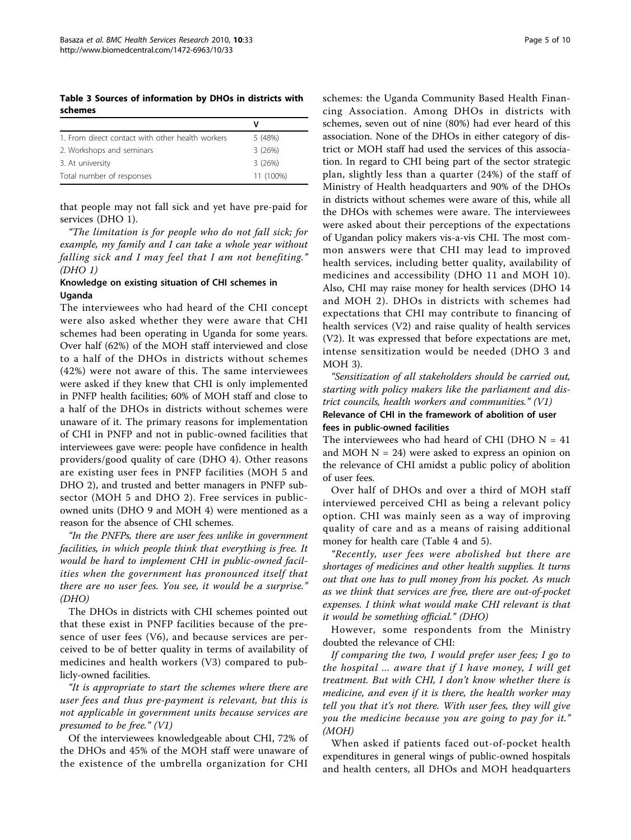<span id="page-4-0"></span>Table 3 Sources of information by DHOs in districts with schemes

|                                                  | v         |
|--------------------------------------------------|-----------|
| 1. From direct contact with other health workers | 5 (48%)   |
| 2. Workshops and seminars                        | 3(26%)    |
| 3. At university                                 | 3(26%)    |
| Total number of responses                        | 11 (100%) |

that people may not fall sick and yet have pre-paid for services (DHO 1).

"The limitation is for people who do not fall sick; for example, my family and I can take a whole year without falling sick and I may feel that I am not benefiting." (DHO 1)

#### Knowledge on existing situation of CHI schemes in Uganda

The interviewees who had heard of the CHI concept were also asked whether they were aware that CHI schemes had been operating in Uganda for some years. Over half (62%) of the MOH staff interviewed and close to a half of the DHOs in districts without schemes (42%) were not aware of this. The same interviewees were asked if they knew that CHI is only implemented in PNFP health facilities; 60% of MOH staff and close to a half of the DHOs in districts without schemes were unaware of it. The primary reasons for implementation of CHI in PNFP and not in public-owned facilities that interviewees gave were: people have confidence in health providers/good quality of care (DHO 4). Other reasons are existing user fees in PNFP facilities (MOH 5 and DHO 2), and trusted and better managers in PNFP subsector (MOH 5 and DHO 2). Free services in publicowned units (DHO 9 and MOH 4) were mentioned as a reason for the absence of CHI schemes.

"In the PNFPs, there are user fees unlike in government facilities, in which people think that everything is free. It would be hard to implement CHI in public-owned facilities when the government has pronounced itself that there are no user fees. You see, it would be a surprise." (DHO)

The DHOs in districts with CHI schemes pointed out that these exist in PNFP facilities because of the presence of user fees (V6), and because services are perceived to be of better quality in terms of availability of medicines and health workers (V3) compared to publicly-owned facilities.

"It is appropriate to start the schemes where there are user fees and thus pre-payment is relevant, but this is not applicable in government units because services are presumed to be free." (V1)

Of the interviewees knowledgeable about CHI, 72% of the DHOs and 45% of the MOH staff were unaware of the existence of the umbrella organization for CHI schemes: the Uganda Community Based Health Financing Association. Among DHOs in districts with schemes, seven out of nine (80%) had ever heard of this association. None of the DHOs in either category of district or MOH staff had used the services of this association. In regard to CHI being part of the sector strategic plan, slightly less than a quarter (24%) of the staff of Ministry of Health headquarters and 90% of the DHOs in districts without schemes were aware of this, while all the DHOs with schemes were aware. The interviewees were asked about their perceptions of the expectations of Ugandan policy makers vis-a-vis CHI. The most common answers were that CHI may lead to improved health services, including better quality, availability of medicines and accessibility (DHO 11 and MOH 10). Also, CHI may raise money for health services (DHO 14 and MOH 2). DHOs in districts with schemes had expectations that CHI may contribute to financing of health services (V2) and raise quality of health services (V2). It was expressed that before expectations are met, intense sensitization would be needed (DHO 3 and MOH 3).

"Sensitization of all stakeholders should be carried out, starting with policy makers like the parliament and district councils, health workers and communities." (V1) Relevance of CHI in the framework of abolition of user fees in public-owned facilities

The interviewees who had heard of CHI (DHO  $N = 41$ ) and MOH  $N = 24$ ) were asked to express an opinion on the relevance of CHI amidst a public policy of abolition of user fees.

Over half of DHOs and over a third of MOH staff interviewed perceived CHI as being a relevant policy option. CHI was mainly seen as a way of improving quality of care and as a means of raising additional money for health care (Table [4](#page-5-0) and [5\)](#page-5-0).

"Recently, user fees were abolished but there are shortages of medicines and other health supplies. It turns out that one has to pull money from his pocket. As much as we think that services are free, there are out-of-pocket expenses. I think what would make CHI relevant is that it would be something official." (DHO)

However, some respondents from the Ministry doubted the relevance of CHI:

If comparing the two, I would prefer user fees; I go to the hospital  $\ldots$  aware that if I have money, I will get treatment. But with CHI, I don't know whether there is medicine, and even if it is there, the health worker may tell you that it's not there. With user fees, they will give you the medicine because you are going to pay for it." (MOH)

When asked if patients faced out-of-pocket health expenditures in general wings of public-owned hospitals and health centers, all DHOs and MOH headquarters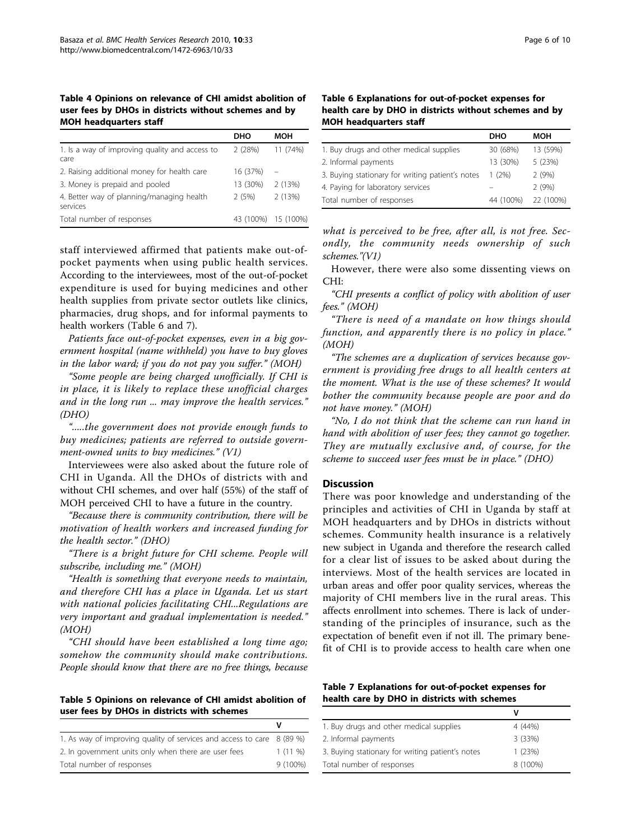<span id="page-5-0"></span>Table 4 Opinions on relevance of CHI amidst abolition of user fees by DHOs in districts without schemes and by MOH headquarters staff

|                                                        | DHO                 | мон      |
|--------------------------------------------------------|---------------------|----------|
| 1. Is a way of improving quality and access to<br>care | 2(28%)              | 11 (74%) |
| 2. Raising additional money for health care            | 16 (37%)            |          |
| 3. Money is prepaid and pooled                         | 13 (30%)            | 2(13%)   |
| 4. Better way of planning/managing health<br>services  | 2(5%)               | 2(13%)   |
| Total number of responses                              | 43 (100%) 15 (100%) |          |

staff interviewed affirmed that patients make out-ofpocket payments when using public health services. According to the interviewees, most of the out-of-pocket expenditure is used for buying medicines and other health supplies from private sector outlets like clinics, pharmacies, drug shops, and for informal payments to health workers (Table 6 and 7).

Patients face out-of-pocket expenses, even in a big government hospital (name withheld) you have to buy gloves in the labor ward; if you do not pay you suffer." (MOH)

"Some people are being charged unofficially. If CHI is in place, it is likely to replace these unofficial charges and in the long run ... may improve the health services." (DHO)

".....the government does not provide enough funds to buy medicines; patients are referred to outside government-owned units to buy medicines."  $(V1)$ 

Interviewees were also asked about the future role of CHI in Uganda. All the DHOs of districts with and without CHI schemes, and over half (55%) of the staff of MOH perceived CHI to have a future in the country.

"Because there is community contribution, there will be motivation of health workers and increased funding for the health sector." (DHO)

"There is a bright future for CHI scheme. People will subscribe, including me." (MOH)

"Health is something that everyone needs to maintain, and therefore CHI has a place in Uganda. Let us start with national policies facilitating CHI...Regulations are very important and gradual implementation is needed." (MOH)

"CHI should have been established a long time ago; somehow the community should make contributions. People should know that there are no free things, because

Table 5 Opinions on relevance of CHI amidst abolition of user fees by DHOs in districts with schemes

| 1. As way of improving quality of services and access to care 8 (89 %) |           |
|------------------------------------------------------------------------|-----------|
| 2. In government units only when there are user fees                   | $1(11\%)$ |
| Total number of responses                                              | 9 (100%)  |

Table 6 Explanations for out-of-pocket expenses for health care by DHO in districts without schemes and by MOH headquarters staff

|                                                  | DHO       | MOH       |
|--------------------------------------------------|-----------|-----------|
| 1. Buy drugs and other medical supplies          | 30 (68%)  | 13 (59%)  |
| 2. Informal payments                             | 13 (30%)  | 5(23%)    |
| 3. Buying stationary for writing patient's notes | $1(2\%)$  | 2(9%)     |
| 4. Paying for laboratory services                |           | 2(9%)     |
| Total number of responses                        | 44 (100%) | 22 (100%) |

what is perceived to be free, after all, is not free. Secondly, the community needs ownership of such schemes."(V1)

However, there were also some dissenting views on CHI:

"CHI presents a conflict of policy with abolition of user fees." (MOH)

"There is need of a mandate on how things should function, and apparently there is no policy in place." (MOH)

"The schemes are a duplication of services because government is providing free drugs to all health centers at the moment. What is the use of these schemes? It would bother the community because people are poor and do not have money." (MOH)

"No, I do not think that the scheme can run hand in hand with abolition of user fees; they cannot go together. They are mutually exclusive and, of course, for the scheme to succeed user fees must be in place." (DHO)

#### Discussion

There was poor knowledge and understanding of the principles and activities of CHI in Uganda by staff at MOH headquarters and by DHOs in districts without schemes. Community health insurance is a relatively new subject in Uganda and therefore the research called for a clear list of issues to be asked about during the interviews. Most of the health services are located in urban areas and offer poor quality services, whereas the majority of CHI members live in the rural areas. This affects enrollment into schemes. There is lack of understanding of the principles of insurance, such as the expectation of benefit even if not ill. The primary benefit of CHI is to provide access to health care when one

Table 7 Explanations for out-of-pocket expenses for health care by DHO in districts with schemes

|                                                  | ν        |
|--------------------------------------------------|----------|
| 1. Buy drugs and other medical supplies          | 4 (44%)  |
| 2. Informal payments                             | 3(33%)   |
| 3. Buying stationary for writing patient's notes | 1(23%)   |
| Total number of responses                        | 8 (100%) |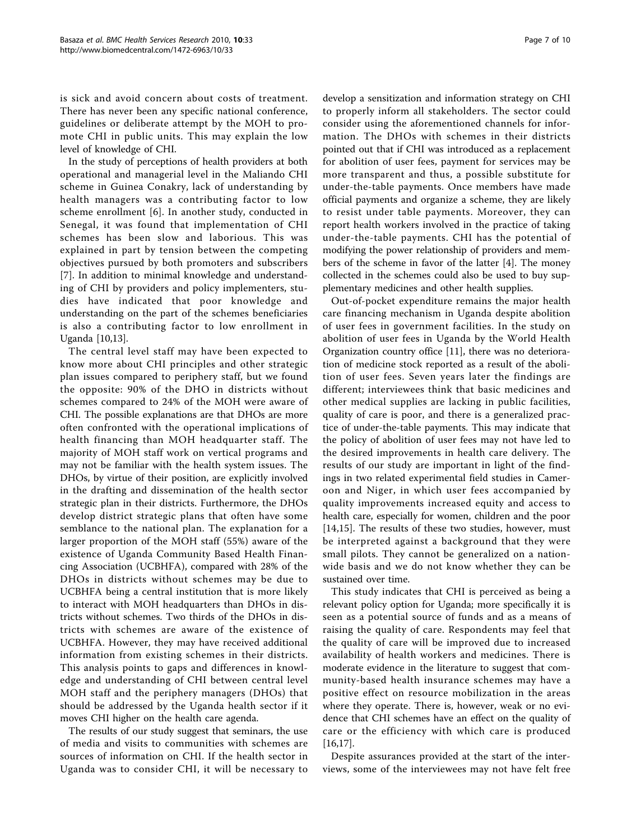is sick and avoid concern about costs of treatment. There has never been any specific national conference, guidelines or deliberate attempt by the MOH to promote CHI in public units. This may explain the low level of knowledge of CHI.

In the study of perceptions of health providers at both operational and managerial level in the Maliando CHI scheme in Guinea Conakry, lack of understanding by health managers was a contributing factor to low scheme enrollment [\[6](#page-8-0)]. In another study, conducted in Senegal, it was found that implementation of CHI schemes has been slow and laborious. This was explained in part by tension between the competing objectives pursued by both promoters and subscribers [[7\]](#page-8-0). In addition to minimal knowledge and understanding of CHI by providers and policy implementers, studies have indicated that poor knowledge and understanding on the part of the schemes beneficiaries is also a contributing factor to low enrollment in Uganda [\[10,13\]](#page-8-0).

The central level staff may have been expected to know more about CHI principles and other strategic plan issues compared to periphery staff, but we found the opposite: 90% of the DHO in districts without schemes compared to 24% of the MOH were aware of CHI. The possible explanations are that DHOs are more often confronted with the operational implications of health financing than MOH headquarter staff. The majority of MOH staff work on vertical programs and may not be familiar with the health system issues. The DHOs, by virtue of their position, are explicitly involved in the drafting and dissemination of the health sector strategic plan in their districts. Furthermore, the DHOs develop district strategic plans that often have some semblance to the national plan. The explanation for a larger proportion of the MOH staff (55%) aware of the existence of Uganda Community Based Health Financing Association (UCBHFA), compared with 28% of the DHOs in districts without schemes may be due to UCBHFA being a central institution that is more likely to interact with MOH headquarters than DHOs in districts without schemes. Two thirds of the DHOs in districts with schemes are aware of the existence of UCBHFA. However, they may have received additional information from existing schemes in their districts. This analysis points to gaps and differences in knowledge and understanding of CHI between central level MOH staff and the periphery managers (DHOs) that should be addressed by the Uganda health sector if it moves CHI higher on the health care agenda.

The results of our study suggest that seminars, the use of media and visits to communities with schemes are sources of information on CHI. If the health sector in Uganda was to consider CHI, it will be necessary to Page 7 of 10

to properly inform all stakeholders. The sector could consider using the aforementioned channels for information. The DHOs with schemes in their districts pointed out that if CHI was introduced as a replacement for abolition of user fees, payment for services may be more transparent and thus, a possible substitute for under-the-table payments. Once members have made official payments and organize a scheme, they are likely to resist under table payments. Moreover, they can report health workers involved in the practice of taking under-the-table payments. CHI has the potential of modifying the power relationship of providers and members of the scheme in favor of the latter [[4\]](#page-8-0). The money collected in the schemes could also be used to buy supplementary medicines and other health supplies.

Out-of-pocket expenditure remains the major health care financing mechanism in Uganda despite abolition of user fees in government facilities. In the study on abolition of user fees in Uganda by the World Health Organization country office [\[11\]](#page-8-0), there was no deterioration of medicine stock reported as a result of the abolition of user fees. Seven years later the findings are different; interviewees think that basic medicines and other medical supplies are lacking in public facilities, quality of care is poor, and there is a generalized practice of under-the-table payments. This may indicate that the policy of abolition of user fees may not have led to the desired improvements in health care delivery. The results of our study are important in light of the findings in two related experimental field studies in Cameroon and Niger, in which user fees accompanied by quality improvements increased equity and access to health care, especially for women, children and the poor [[14,15](#page-8-0)]. The results of these two studies, however, must be interpreted against a background that they were small pilots. They cannot be generalized on a nationwide basis and we do not know whether they can be sustained over time.

This study indicates that CHI is perceived as being a relevant policy option for Uganda; more specifically it is seen as a potential source of funds and as a means of raising the quality of care. Respondents may feel that the quality of care will be improved due to increased availability of health workers and medicines. There is moderate evidence in the literature to suggest that community-based health insurance schemes may have a positive effect on resource mobilization in the areas where they operate. There is, however, weak or no evidence that CHI schemes have an effect on the quality of care or the efficiency with which care is produced [[16,](#page-8-0)[17\]](#page-9-0).

Despite assurances provided at the start of the interviews, some of the interviewees may not have felt free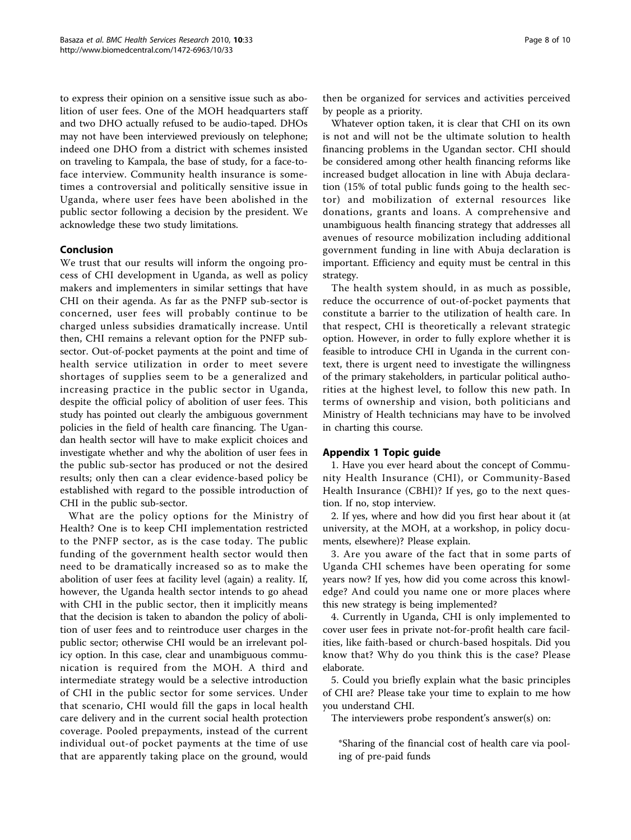to express their opinion on a sensitive issue such as abolition of user fees. One of the MOH headquarters staff and two DHO actually refused to be audio-taped. DHOs may not have been interviewed previously on telephone; indeed one DHO from a district with schemes insisted on traveling to Kampala, the base of study, for a face-toface interview. Community health insurance is sometimes a controversial and politically sensitive issue in Uganda, where user fees have been abolished in the public sector following a decision by the president. We acknowledge these two study limitations.

#### Conclusion

We trust that our results will inform the ongoing process of CHI development in Uganda, as well as policy makers and implementers in similar settings that have CHI on their agenda. As far as the PNFP sub-sector is concerned, user fees will probably continue to be charged unless subsidies dramatically increase. Until then, CHI remains a relevant option for the PNFP subsector. Out-of-pocket payments at the point and time of health service utilization in order to meet severe shortages of supplies seem to be a generalized and increasing practice in the public sector in Uganda, despite the official policy of abolition of user fees. This study has pointed out clearly the ambiguous government policies in the field of health care financing. The Ugandan health sector will have to make explicit choices and investigate whether and why the abolition of user fees in the public sub-sector has produced or not the desired results; only then can a clear evidence-based policy be established with regard to the possible introduction of CHI in the public sub-sector.

What are the policy options for the Ministry of Health? One is to keep CHI implementation restricted to the PNFP sector, as is the case today. The public funding of the government health sector would then need to be dramatically increased so as to make the abolition of user fees at facility level (again) a reality. If, however, the Uganda health sector intends to go ahead with CHI in the public sector, then it implicitly means that the decision is taken to abandon the policy of abolition of user fees and to reintroduce user charges in the public sector; otherwise CHI would be an irrelevant policy option. In this case, clear and unambiguous communication is required from the MOH. A third and intermediate strategy would be a selective introduction of CHI in the public sector for some services. Under that scenario, CHI would fill the gaps in local health care delivery and in the current social health protection coverage. Pooled prepayments, instead of the current individual out-of pocket payments at the time of use that are apparently taking place on the ground, would

then be organized for services and activities perceived by people as a priority.

Whatever option taken, it is clear that CHI on its own is not and will not be the ultimate solution to health financing problems in the Ugandan sector. CHI should be considered among other health financing reforms like increased budget allocation in line with Abuja declaration (15% of total public funds going to the health sector) and mobilization of external resources like donations, grants and loans. A comprehensive and unambiguous health financing strategy that addresses all avenues of resource mobilization including additional government funding in line with Abuja declaration is important. Efficiency and equity must be central in this strategy.

The health system should, in as much as possible, reduce the occurrence of out-of-pocket payments that constitute a barrier to the utilization of health care. In that respect, CHI is theoretically a relevant strategic option. However, in order to fully explore whether it is feasible to introduce CHI in Uganda in the current context, there is urgent need to investigate the willingness of the primary stakeholders, in particular political authorities at the highest level, to follow this new path. In terms of ownership and vision, both politicians and Ministry of Health technicians may have to be involved in charting this course.

#### Appendix 1 Topic guide

1. Have you ever heard about the concept of Community Health Insurance (CHI), or Community-Based Health Insurance (CBHI)? If yes, go to the next question. If no, stop interview.

2. If yes, where and how did you first hear about it (at university, at the MOH, at a workshop, in policy documents, elsewhere)? Please explain.

3. Are you aware of the fact that in some parts of Uganda CHI schemes have been operating for some years now? If yes, how did you come across this knowledge? And could you name one or more places where this new strategy is being implemented?

4. Currently in Uganda, CHI is only implemented to cover user fees in private not-for-profit health care facilities, like faith-based or church-based hospitals. Did you know that? Why do you think this is the case? Please elaborate.

5. Could you briefly explain what the basic principles of CHI are? Please take your time to explain to me how you understand CHI.

The interviewers probe respondent's answer(s) on:

\*Sharing of the financial cost of health care via pooling of pre-paid funds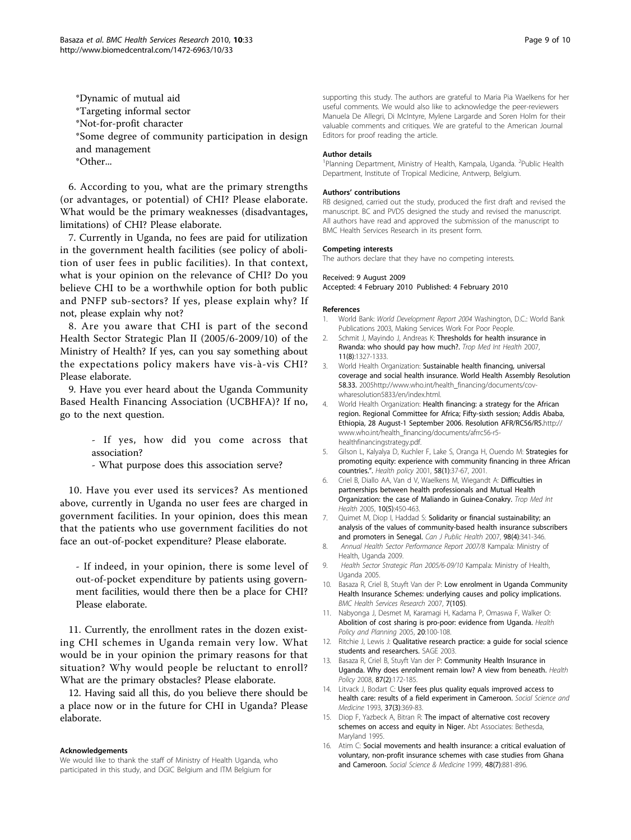- <span id="page-8-0"></span>\*Dynamic of mutual aid
- \*Targeting informal sector
- \*Not-for-profit character
- \*Some degree of community participation in design and management
- \*Other...

6. According to you, what are the primary strengths (or advantages, or potential) of CHI? Please elaborate. What would be the primary weaknesses (disadvantages, limitations) of CHI? Please elaborate.

7. Currently in Uganda, no fees are paid for utilization in the government health facilities (see policy of abolition of user fees in public facilities). In that context, what is your opinion on the relevance of CHI? Do you believe CHI to be a worthwhile option for both public and PNFP sub-sectors? If yes, please explain why? If not, please explain why not?

8. Are you aware that CHI is part of the second Health Sector Strategic Plan II (2005/6-2009/10) of the Ministry of Health? If yes, can you say something about the expectations policy makers have vis-à-vis CHI? Please elaborate.

9. Have you ever heard about the Uganda Community Based Health Financing Association (UCBHFA)? If no, go to the next question.

> - If yes, how did you come across that association?

- What purpose does this association serve?

10. Have you ever used its services? As mentioned above, currently in Uganda no user fees are charged in government facilities. In your opinion, does this mean that the patients who use government facilities do not face an out-of-pocket expenditure? Please elaborate.

- If indeed, in your opinion, there is some level of out-of-pocket expenditure by patients using government facilities, would there then be a place for CHI? Please elaborate.

11. Currently, the enrollment rates in the dozen existing CHI schemes in Uganda remain very low. What would be in your opinion the primary reasons for that situation? Why would people be reluctant to enroll? What are the primary obstacles? Please elaborate.

12. Having said all this, do you believe there should be a place now or in the future for CHI in Uganda? Please elaborate.

#### Acknowledgements

We would like to thank the staff of Ministry of Health Uganda, who participated in this study, and DGIC Belgium and ITM Belgium for

supporting this study. The authors are grateful to Maria Pia Waelkens for her useful comments. We would also like to acknowledge the peer-reviewers Manuela De Allegri, Di McIntyre, Mylene Largarde and Soren Holm for their valuable comments and critiques. We are grateful to the American Journal Editors for proof reading the article.

#### Author details

<sup>1</sup>Planning Department, Ministry of Health, Kampala, Uganda. <sup>2</sup>Public Health Department, Institute of Tropical Medicine, Antwerp, Belgium.

#### Authors' contributions

RB designed, carried out the study, produced the first draft and revised the manuscript. BC and PVDS designed the study and revised the manuscript. All authors have read and approved the submission of the manuscript to BMC Health Services Research in its present form.

#### Competing interests

The authors declare that they have no competing interests.

# Received: 9 August 2009

Accepted: 4 February 2010 Published: 4 February 2010

#### References

- World Bank: World Development Report 2004 Washington, D.C.: World Bank Publications 2003, Making Services Work For Poor People.
- 2. Schmit J, Mayindo J, Andreas K: Thresholds for health insurance in Rwanda: who should pay how much?. Trop Med Int Health 2007, 11(8):1327-1333.
- 3. World Health Organization: Sustainable health financing, universal coverage and social health insurance. World Health Assembly Resolution 58.33. 2005[http://www.who.int/health\\_financing/documents/cov](http://www.who.int/health_financing/documents/cov-wharesolution5833/en/index.html)[wharesolution5833/en/index.html](http://www.who.int/health_financing/documents/cov-wharesolution5833/en/index.html).
- 4. World Health Organization: Health financing: a strategy for the African region. Regional Committee for Africa; Fifty-sixth session; Addis Ababa, Ethiopia, 28 August-1 September 2006. Resolution AFR/RC56/R5.[http://](http://www.who.int/health_financing/documents/afrrc56-r5-healthfinancingstrategy.pdf) [www.who.int/health\\_financing/documents/afrrc56-r5](http://www.who.int/health_financing/documents/afrrc56-r5-healthfinancingstrategy.pdf) [healthfinancingstrategy.pdf.](http://www.who.int/health_financing/documents/afrrc56-r5-healthfinancingstrategy.pdf)
- 5. Gilson L, Kalyalya D, Kuchler F, Lake S, Oranga H, Ouendo M: [Strategies for](http://www.ncbi.nlm.nih.gov/pubmed/11518601?dopt=Abstract) [promoting equity: experience with community financing in three African](http://www.ncbi.nlm.nih.gov/pubmed/11518601?dopt=Abstract) [countries.](http://www.ncbi.nlm.nih.gov/pubmed/11518601?dopt=Abstract)". Health policy 2001, 58(1):37-67, 2001.
- 6. Criel B, Diallo AA, Van d V, Waelkens M, Wiegandt A: [Difficulties in](http://www.ncbi.nlm.nih.gov/pubmed/15860092?dopt=Abstract) [partnerships between health professionals and Mutual Health](http://www.ncbi.nlm.nih.gov/pubmed/15860092?dopt=Abstract) [Organization: the case of Maliando in Guinea-Conakry.](http://www.ncbi.nlm.nih.gov/pubmed/15860092?dopt=Abstract) Trop Med Int Health 2005, 10(5):450-463.
- 7. Quimet M, Diop I, Haddad S: [Solidarity or financial sustainability; an](http://www.ncbi.nlm.nih.gov/pubmed/17896749?dopt=Abstract) [analysis of the values of community-based health insurance subscribers](http://www.ncbi.nlm.nih.gov/pubmed/17896749?dopt=Abstract) [and promoters in Senegal.](http://www.ncbi.nlm.nih.gov/pubmed/17896749?dopt=Abstract) Can J Public Health 2007, 98(4):341-346.
- 8. Annual Health Sector Performance Report 2007/8 Kampala: Ministry of Health, Uganda 2009.
- 9. Health Sector Strategic Plan 2005/6-09/10 Kampala: Ministry of Health, Uganda 2005.
- 10. Basaza R, Criel B, Stuyft Van der P: [Low enrolment in Uganda Community](http://www.ncbi.nlm.nih.gov/pubmed/17620138?dopt=Abstract) [Health Insurance Schemes: underlying causes and policy implications.](http://www.ncbi.nlm.nih.gov/pubmed/17620138?dopt=Abstract) BMC Health Services Research 2007, 7(105).
- 11. Nabyonga J, Desmet M, Karamagi H, Kadama P, Omaswa F, Walker O: [Abolition of cost sharing is pro-poor: evidence from Uganda.](http://www.ncbi.nlm.nih.gov/pubmed/15746218?dopt=Abstract) Health Policy and Planning 2005, 20:100-108.
- 12. Ritchie J, Lewis J: Qualitative research practice: a quide for social science students and researchers. SAGE 2003.
- 13. Basaza R, Criel B, Stuyft Van der P: [Community Health Insurance in](http://www.ncbi.nlm.nih.gov/pubmed/18280608?dopt=Abstract) [Uganda. Why does enrolment remain low? A view from beneath.](http://www.ncbi.nlm.nih.gov/pubmed/18280608?dopt=Abstract) Health Policy 2008, 87(2):172-185.
- 14. Litvack J, Bodart C: [User fees plus quality equals improved access to](http://www.ncbi.nlm.nih.gov/pubmed/8356485?dopt=Abstract) [health care: results of a field experiment in Cameroon.](http://www.ncbi.nlm.nih.gov/pubmed/8356485?dopt=Abstract) Social Science and Medicine 1993, 37(3):369-83.
- 15. Diop F, Yazbeck A, Bitran R: The impact of alternative cost recovery schemes on access and equity in Niger. Abt Associates: Bethesda, Maryland 1995.
- 16. Atim C: Social movements and health insurance: a critical evaluation of voluntary, non-profit insurance schemes with case studies from Ghana and Cameroon. Social Science & Medicine 1999, 48(7):881-896.